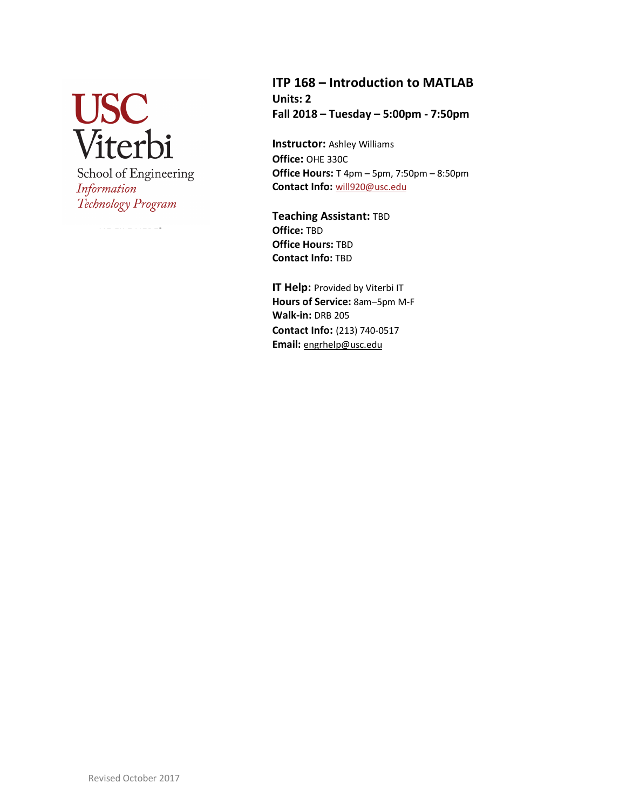**USC**<br>Viterbi School of Engineering Information Technology Program

HE FILE HERE]

**ITP 168 – Introduction to MATLAB Units: 2 Fall 2018 – Tuesday – 5:00pm - 7:50pm**

**Instructor:** Ashley Williams **Office:** OHE 330C **Office Hours:** T 4pm – 5pm, 7:50pm – 8:50pm **Contact Info:** will920@usc.edu

**Teaching Assistant:** TBD **Office:** TBD **Office Hours:** TBD **Contact Info:** TBD

**IT Help:** Provided by Viterbi IT **Hours of Service:** 8am–5pm M-F **Walk-in:** DRB 205 **Contact Info:** (213) 740-0517 **Email:** engrhelp@usc.edu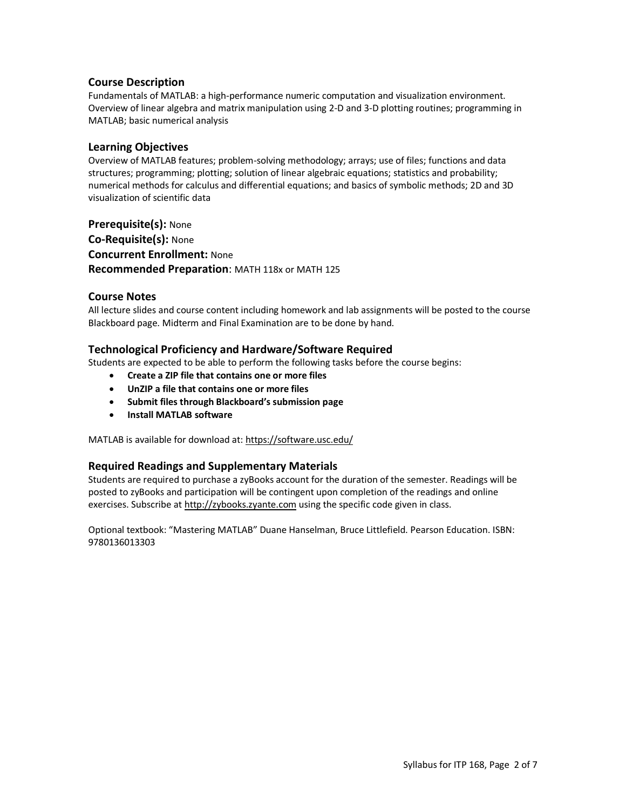### **Course Description**

Fundamentals of MATLAB: a high-performance numeric computation and visualization environment. Overview of linear algebra and matrix manipulation using 2-D and 3-D plotting routines; programming in MATLAB; basic numerical analysis

### **Learning Objectives**

Overview of MATLAB features; problem-solving methodology; arrays; use of files; functions and data structures; programming; plotting; solution of linear algebraic equations; statistics and probability; numerical methods for calculus and differential equations; and basics of symbolic methods; 2D and 3D visualization of scientific data

**Prerequisite(s):** None **Co-Requisite(s):** None **Concurrent Enrollment:** None **Recommended Preparation**: MATH 118x or MATH 125

#### **Course Notes**

All lecture slides and course content including homework and lab assignments will be posted to the course Blackboard page. Midterm and Final Examination are to be done by hand.

### **Technological Proficiency and Hardware/Software Required**

Students are expected to be able to perform the following tasks before the course begins:

- **Create a ZIP file that contains one or more files**
- **UnZIP a file that contains one or more files**
- **Submit files through Blackboard's submission page**
- **Install MATLAB software**

MATLAB is available for download at: https://software.usc.edu/

### **Required Readings and Supplementary Materials**

Students are required to purchase a zyBooks account for the duration of the semester. Readings will be posted to zyBooks and participation will be contingent upon completion of the readings and online exercises. Subscribe at http://zybooks.zyante.com using the specific code given in class.

Optional textbook: "Mastering MATLAB" Duane Hanselman, Bruce Littlefield. Pearson Education. ISBN: 9780136013303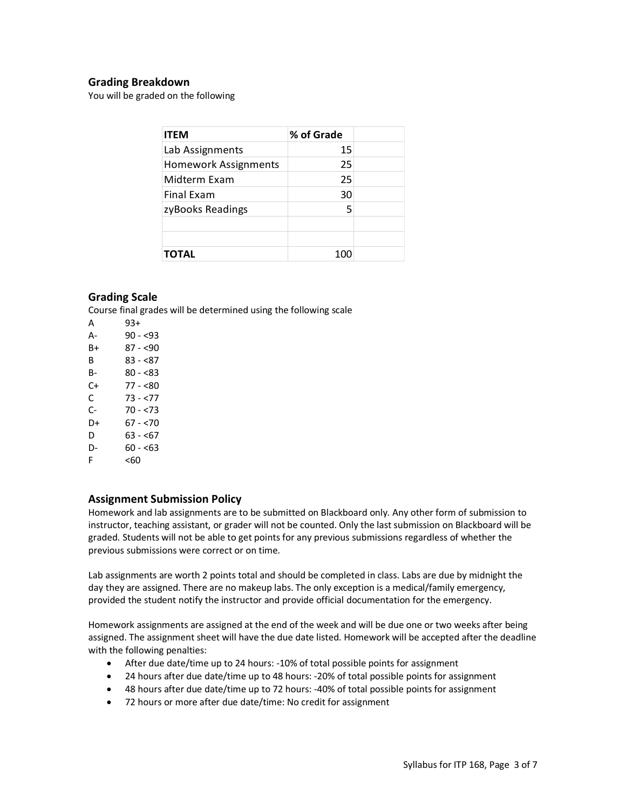### **Grading Breakdown**

You will be graded on the following

| <b>ITEM</b>                 | % of Grade |  |
|-----------------------------|------------|--|
| Lab Assignments             | 15         |  |
| <b>Homework Assignments</b> | 25         |  |
| Midterm Exam                | 25         |  |
| Final Exam                  | 30         |  |
| zyBooks Readings            | 5          |  |
|                             |            |  |
|                             |            |  |
| <b>TOTAL</b>                | 100        |  |

### **Grading Scale**

Course final grades will be determined using the following scale

A 93+ A- 90 - <93 B+ 87 - <90 B 83 - <87 B- 80 - <83  $C+ 77 - < 80$  $C = 73 - 577$ C- 70 - <73 D+ 67 - <70 D  $63 - 67$ D-  $60 - 63$ F <60

#### **Assignment Submission Policy**

Homework and lab assignments are to be submitted on Blackboard only. Any other form of submission to instructor, teaching assistant, or grader will not be counted. Only the last submission on Blackboard will be graded. Students will not be able to get points for any previous submissions regardless of whether the previous submissions were correct or on time.

Lab assignments are worth 2 points total and should be completed in class. Labs are due by midnight the day they are assigned. There are no makeup labs. The only exception is a medical/family emergency, provided the student notify the instructor and provide official documentation for the emergency.

Homework assignments are assigned at the end of the week and will be due one or two weeks after being assigned. The assignment sheet will have the due date listed. Homework will be accepted after the deadline with the following penalties:

- After due date/time up to 24 hours: -10% of total possible points for assignment
- 24 hours after due date/time up to 48 hours: -20% of total possible points for assignment
- 48 hours after due date/time up to 72 hours: -40% of total possible points for assignment
- 72 hours or more after due date/time: No credit for assignment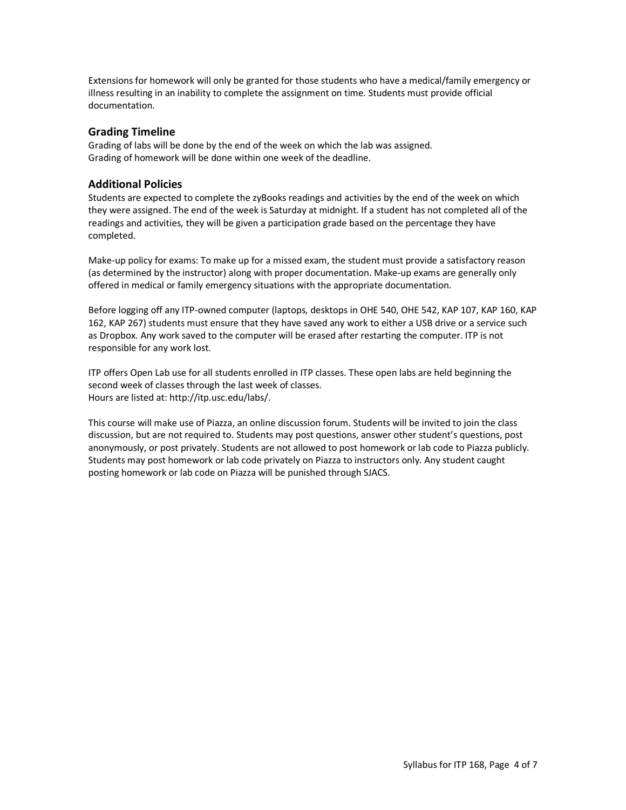Extensions for homework will only be granted for those students who have a medical/family emergency or illness resulting in an inability to complete the assignment on time. Students must provide official documentation.

### **Grading Timeline**

Grading of labs will be done by the end of the week on which the lab was assigned. Grading of homework will be done within one week of the deadline.

### **Additional Policies**

Students are expected to complete the zyBooks readings and activities by the end of the week on which they were assigned. The end of the week is Saturday at midnight. If a student has not completed all of the readings and activities, they will be given a participation grade based on the percentage they have completed.

Make-up policy for exams: To make up for a missed exam, the student must provide a satisfactory reason (as determined by the instructor) along with proper documentation. Make-up exams are generally only offered in medical or family emergency situations with the appropriate documentation.

Before logging off any ITP-owned computer (laptops, desktops in OHE 540, OHE 542, KAP 107, KAP 160, KAP 162, KAP 267) students must ensure that they have saved any work to either a USB drive or a service such as Dropbox. Any work saved to the computer will be erased after restarting the computer. ITP is not responsible for any work lost.

ITP offers Open Lab use for all students enrolled in ITP classes. These open labs are held beginning the second week of classes through the last week of classes. Hours are listed at: http://itp.usc.edu/labs/.

This course will make use of Piazza, an online discussion forum. Students will be invited to join the class discussion, but are not required to. Students may post questions, answer other student's questions, post anonymously, or post privately. Students are not allowed to post homework or lab code to Piazza publicly. Students may post homework or lab code privately on Piazza to instructors only. Any student caught posting homework or lab code on Piazza will be punished through SJACS.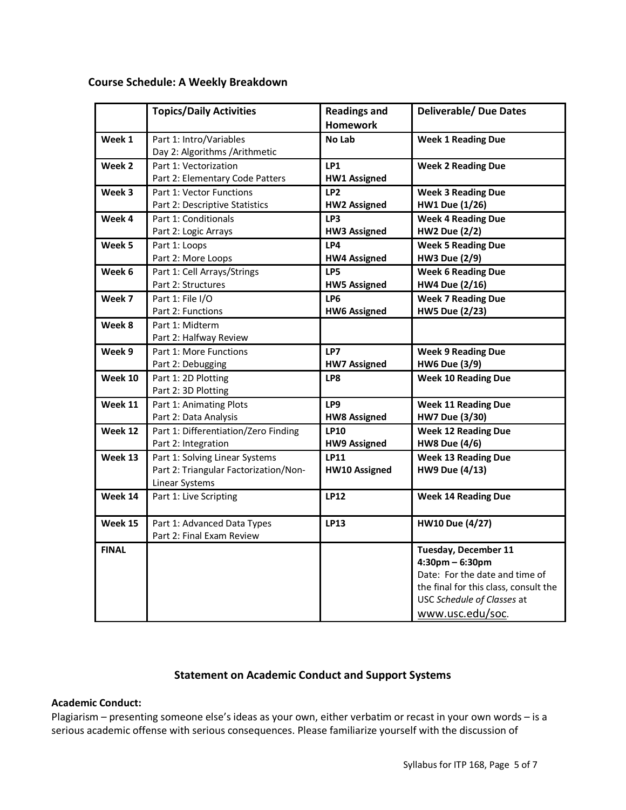# **Course Schedule: A Weekly Breakdown**

|              | <b>Topics/Daily Activities</b>                                                            | <b>Readings and</b><br><b>Homework</b> | <b>Deliverable/ Due Dates</b>                                                                                                                                                  |
|--------------|-------------------------------------------------------------------------------------------|----------------------------------------|--------------------------------------------------------------------------------------------------------------------------------------------------------------------------------|
| Week 1       | Part 1: Intro/Variables<br>Day 2: Algorithms / Arithmetic                                 | No Lab                                 | <b>Week 1 Reading Due</b>                                                                                                                                                      |
| Week 2       | Part 1: Vectorization<br>Part 2: Elementary Code Patters                                  | LP1<br><b>HW1 Assigned</b>             | <b>Week 2 Reading Due</b>                                                                                                                                                      |
| Week 3       | Part 1: Vector Functions<br>Part 2: Descriptive Statistics                                | LP <sub>2</sub><br><b>HW2 Assigned</b> | <b>Week 3 Reading Due</b><br><b>HW1 Due (1/26)</b>                                                                                                                             |
| Week 4       | Part 1: Conditionals<br>Part 2: Logic Arrays                                              | LP3<br><b>HW3 Assigned</b>             | <b>Week 4 Reading Due</b><br><b>HW2 Due (2/2)</b>                                                                                                                              |
| Week 5       | Part 1: Loops<br>Part 2: More Loops                                                       | LP4<br><b>HW4 Assigned</b>             | <b>Week 5 Reading Due</b><br><b>HW3 Due (2/9)</b>                                                                                                                              |
| Week 6       | Part 1: Cell Arrays/Strings<br>Part 2: Structures                                         | LP5<br><b>HW5 Assigned</b>             | <b>Week 6 Reading Due</b><br><b>HW4 Due (2/16)</b>                                                                                                                             |
| Week 7       | Part 1: File I/O<br>Part 2: Functions                                                     | LP <sub>6</sub><br><b>HW6 Assigned</b> | <b>Week 7 Reading Due</b><br><b>HW5 Due (2/23)</b>                                                                                                                             |
| Week 8       | Part 1: Midterm<br>Part 2: Halfway Review                                                 |                                        |                                                                                                                                                                                |
| Week 9       | Part 1: More Functions<br>Part 2: Debugging                                               | LP7<br><b>HW7 Assigned</b>             | <b>Week 9 Reading Due</b><br><b>HW6 Due (3/9)</b>                                                                                                                              |
| Week 10      | Part 1: 2D Plotting<br>Part 2: 3D Plotting                                                | LP8                                    | <b>Week 10 Reading Due</b>                                                                                                                                                     |
| Week 11      | Part 1: Animating Plots<br>Part 2: Data Analysis                                          | LP9<br><b>HW8 Assigned</b>             | <b>Week 11 Reading Due</b><br><b>HW7 Due (3/30)</b>                                                                                                                            |
| Week 12      | Part 1: Differentiation/Zero Finding<br>Part 2: Integration                               | <b>LP10</b><br><b>HW9 Assigned</b>     | <b>Week 12 Reading Due</b><br><b>HW8 Due (4/6)</b>                                                                                                                             |
| Week 13      | Part 1: Solving Linear Systems<br>Part 2: Triangular Factorization/Non-<br>Linear Systems | LP11<br><b>HW10 Assigned</b>           | <b>Week 13 Reading Due</b><br><b>HW9 Due (4/13)</b>                                                                                                                            |
| Week 14      | Part 1: Live Scripting                                                                    | <b>LP12</b>                            | <b>Week 14 Reading Due</b>                                                                                                                                                     |
| Week 15      | Part 1: Advanced Data Types<br>Part 2: Final Exam Review                                  | LP13                                   | <b>HW10 Due (4/27)</b>                                                                                                                                                         |
| <b>FINAL</b> |                                                                                           |                                        | <b>Tuesday, December 11</b><br>$4:30$ pm – 6:30pm<br>Date: For the date and time of<br>the final for this class, consult the<br>USC Schedule of Classes at<br>www.usc.edu/soc. |

# **Statement on Academic Conduct and Support Systems**

## **Academic Conduct:**

Plagiarism – presenting someone else's ideas as your own, either verbatim or recast in your own words – is a serious academic offense with serious consequences. Please familiarize yourself with the discussion of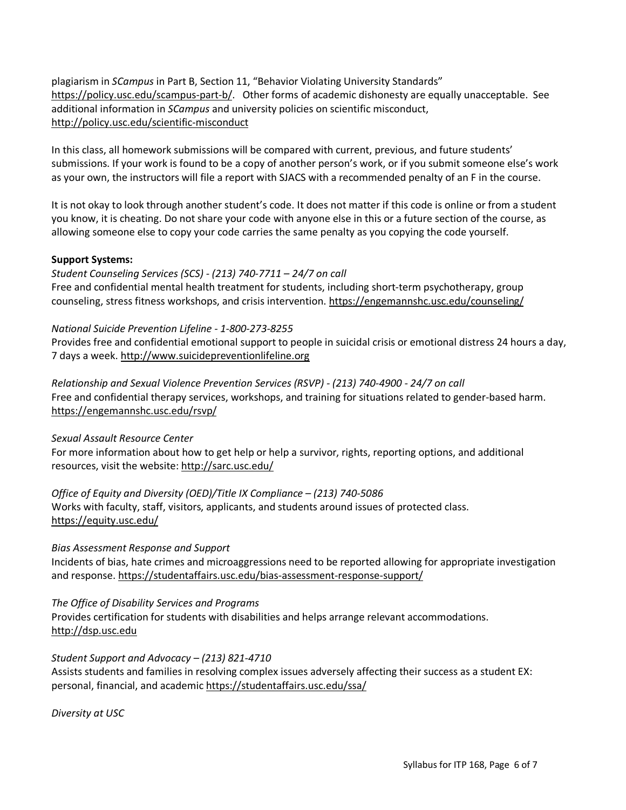plagiarism in *SCampus* in Part B, Section 11, "Behavior Violating University Standards" https://policy.usc.edu/scampus-part-b/. Other forms of academic dishonesty are equally unacceptable. See additional information in *SCampus* and university policies on scientific misconduct, http://policy.usc.edu/scientific-misconduct

In this class, all homework submissions will be compared with current, previous, and future students' submissions. If your work is found to be a copy of another person's work, or if you submit someone else's work as your own, the instructors will file a report with SJACS with a recommended penalty of an F in the course.

It is not okay to look through another student's code. It does not matter if this code is online or from a student you know, it is cheating. Do not share your code with anyone else in this or a future section of the course, as allowing someone else to copy your code carries the same penalty as you copying the code yourself.

## **Support Systems:**

*Student Counseling Services (SCS) - (213) 740-7711 – 24/7 on call* Free and confidential mental health treatment for students, including short-term psychotherapy, group counseling, stress fitness workshops, and crisis intervention. https://engemannshc.usc.edu/counseling/

### *National Suicide Prevention Lifeline - 1-800-273-8255*

Provides free and confidential emotional support to people in suicidal crisis or emotional distress 24 hours a day, 7 days a week. http://www.suicidepreventionlifeline.org

*Relationship and Sexual Violence Prevention Services (RSVP) - (213) 740-4900 - 24/7 on call* Free and confidential therapy services, workshops, and training for situations related to gender-based harm. https://engemannshc.usc.edu/rsvp/

*Sexual Assault Resource Center*

For more information about how to get help or help a survivor, rights, reporting options, and additional resources, visit the website: http://sarc.usc.edu/

*Office of Equity and Diversity (OED)/Title IX Compliance – (213) 740-5086* Works with faculty, staff, visitors, applicants, and students around issues of protected class.

## https://equity.usc.edu/

## *Bias Assessment Response and Support*

Incidents of bias, hate crimes and microaggressions need to be reported allowing for appropriate investigation and response. https://studentaffairs.usc.edu/bias-assessment-response-support/

## *The Office of Disability Services and Programs*

Provides certification for students with disabilities and helps arrange relevant accommodations. http://dsp.usc.edu

## *Student Support and Advocacy – (213) 821-4710*

Assists students and families in resolving complex issues adversely affecting their success as a student EX: personal, financial, and academic https://studentaffairs.usc.edu/ssa/

*Diversity at USC*